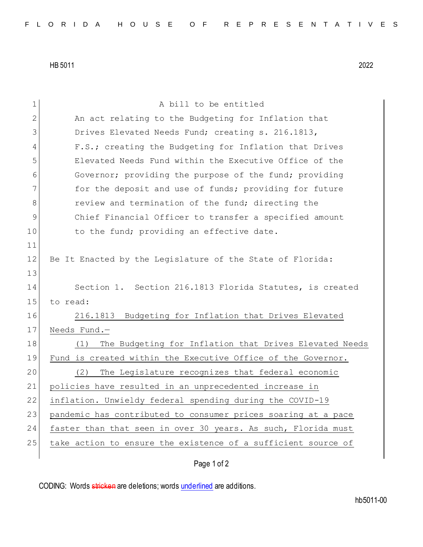HB 5011 2022

1 A bill to be entitled 2 An act relating to the Budgeting for Inflation that 3 Drives Elevated Needs Fund; creating s. 216.1813, 4 F.S.; creating the Budgeting for Inflation that Drives 5 Elevated Needs Fund within the Executive Office of the 6 Governor; providing the purpose of the fund; providing 7 **for the deposit and use of funds; providing for future** 8 **8** review and termination of the fund; directing the 9 Chief Financial Officer to transfer a specified amount 10 to the fund; providing an effective date. 11 12 Be It Enacted by the Legislature of the State of Florida: 13 14 Section 1. Section 216.1813 Florida Statutes, is created 15 to read: 16 216.1813 Budgeting for Inflation that Drives Elevated 17 Needs Fund.-18 (1) The Budgeting for Inflation that Drives Elevated Needs 19 Fund is created within the Executive Office of the Governor. 20 (2) The Legislature recognizes that federal economic 21 policies have resulted in an unprecedented increase in 22 inflation. Unwieldy federal spending during the COVID-19 23 pandemic has contributed to consumer prices soaring at a pace 24 faster than that seen in over 30 years. As such, Florida must 25 take action to ensure the existence of a sufficient source of

Page 1 of 2

CODING: Words stricken are deletions; words underlined are additions.